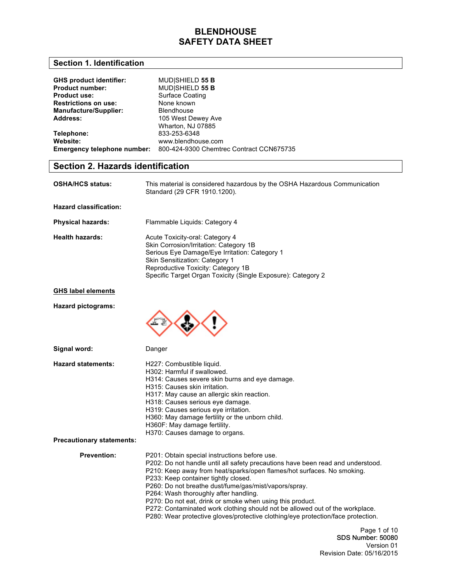## **Section 1. Identification**

| <b>GHS product identifier:</b>     | <b>MUDISHIELD 55 B</b>                   |
|------------------------------------|------------------------------------------|
| <b>Product number:</b>             | MUD SHIELD 55 B                          |
| <b>Product use:</b>                | Surface Coating                          |
| <b>Restrictions on use:</b>        | None known                               |
| <b>Manufacture/Supplier:</b>       | <b>Blendhouse</b>                        |
| Address:                           | 105 West Dewey Ave                       |
|                                    | Wharton, NJ 07885                        |
| Telephone:                         | 833-253-6348                             |
| Website:                           | www.blendhouse.com                       |
| <b>Emergency telephone number:</b> | 800-424-9300 Chemtrec Contract CCN675735 |

# **Section 2. Hazards identification**

| <b>OSHA/HCS status:</b>       | This material is considered hazardous by the OSHA Hazardous Communication<br>Standard (29 CFR 1910.1200).                                                                                                                                                                 |
|-------------------------------|---------------------------------------------------------------------------------------------------------------------------------------------------------------------------------------------------------------------------------------------------------------------------|
| <b>Hazard classification:</b> |                                                                                                                                                                                                                                                                           |
| <b>Physical hazards:</b>      | Flammable Liquids: Category 4                                                                                                                                                                                                                                             |
| <b>Health hazards:</b>        | Acute Toxicity-oral: Category 4<br>Skin Corrosion/Irritation: Category 1B<br>Serious Eye Damage/Eye Irritation: Category 1<br><b>Skin Sensitization: Category 1</b><br>Reproductive Toxicity: Category 1B<br>Specific Target Organ Toxicity (Single Exposure): Category 2 |
| <b>GHS label elements</b>     |                                                                                                                                                                                                                                                                           |

**Hazard pictograms:**



H227: Combustible liquid.

Danger

**Hazard statements:**

|                                  | H302: Harmful if swallowed.                                                      |
|----------------------------------|----------------------------------------------------------------------------------|
|                                  | H314: Causes severe skin burns and eye damage.                                   |
|                                  | H315: Causes skin irritation.                                                    |
|                                  | H317: May cause an allergic skin reaction.                                       |
|                                  | H318: Causes serious eve damage.                                                 |
|                                  | H319: Causes serious eve irritation.                                             |
|                                  | H360: May damage fertility or the unborn child.                                  |
|                                  | H360F: May damage fertility.                                                     |
|                                  | H370: Causes damage to organs.                                                   |
| <b>Precautionary statements:</b> |                                                                                  |
| <b>Prevention:</b>               | P201: Obtain special instructions before use.                                    |
|                                  | P202: Do not handle until all safety precautions have been read and understood.  |
|                                  | P210: Keep away from heat/sparks/open flames/hot surfaces. No smoking.           |
|                                  | P233: Keep container tightly closed.                                             |
|                                  | P260: Do not breathe dust/fume/gas/mist/vapors/spray.                            |
|                                  | P264: Wash thoroughly after handling.                                            |
|                                  | P270: Do not eat, drink or smoke when using this product.                        |
|                                  | P272: Contaminated work clothing should not be allowed out of the workplace.     |
|                                  | P280: Wear protective gloves/protective clothing/eye protection/face protection. |

Page 1 of 10 SDS Number: 50080 Version 01 Revision Date: 05/16/2015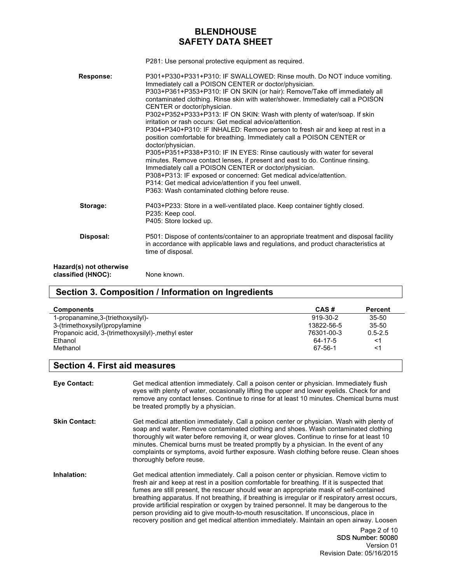P281: Use personal protective equipment as required.

| Response:                                     | P301+P330+P331+P310: IF SWALLOWED: Rinse mouth. Do NOT induce vomiting.<br>Immediately call a POISON CENTER or doctor/physician.<br>P303+P361+P353+P310: IF ON SKIN (or hair): Remove/Take off immediately all<br>contaminated clothing. Rinse skin with water/shower. Immediately call a POISON<br>CENTER or doctor/physician.<br>P302+P352+P333+P313: IF ON SKIN: Wash with plenty of water/soap. If skin<br>irritation or rash occurs: Get medical advice/attention.<br>P304+P340+P310: IF INHALED: Remove person to fresh air and keep at rest in a<br>position comfortable for breathing. Immediately call a POISON CENTER or<br>doctor/physician.<br>P305+P351+P338+P310: IF IN EYES: Rinse cautiously with water for several<br>minutes. Remove contact lenses, if present and east to do. Continue rinsing.<br>Immediately call a POISON CENTER or doctor/physician.<br>P308+P313: IF exposed or concerned: Get medical advice/attention.<br>P314: Get medical advice/attention if you feel unwell.<br>P363: Wash contaminated clothing before reuse. |
|-----------------------------------------------|---------------------------------------------------------------------------------------------------------------------------------------------------------------------------------------------------------------------------------------------------------------------------------------------------------------------------------------------------------------------------------------------------------------------------------------------------------------------------------------------------------------------------------------------------------------------------------------------------------------------------------------------------------------------------------------------------------------------------------------------------------------------------------------------------------------------------------------------------------------------------------------------------------------------------------------------------------------------------------------------------------------------------------------------------------------|
| Storage:                                      | P403+P233: Store in a well-ventilated place. Keep container tightly closed.<br>P235: Keep cool.<br>P405: Store locked up.                                                                                                                                                                                                                                                                                                                                                                                                                                                                                                                                                                                                                                                                                                                                                                                                                                                                                                                                     |
| Disposal:                                     | P501: Dispose of contents/container to an appropriate treatment and disposal facility<br>in accordance with applicable laws and regulations, and product characteristics at<br>time of disposal.                                                                                                                                                                                                                                                                                                                                                                                                                                                                                                                                                                                                                                                                                                                                                                                                                                                              |
| Hazard(s) not otherwise<br>classified (HNOC): | None known.                                                                                                                                                                                                                                                                                                                                                                                                                                                                                                                                                                                                                                                                                                                                                                                                                                                                                                                                                                                                                                                   |

## **Section 3. Composition / Information on Ingredients**

| <b>Components</b>                                  | CAS#       | Percent     |
|----------------------------------------------------|------------|-------------|
| 1-propanamine, 3-(triethoxysilyl)-                 | 919-30-2   | $35 - 50$   |
| 3-(trimethoxysilyl)propylamine                     | 13822-56-5 | $35 - 50$   |
| Propanoic acid, 3-(trimethoxysilyl)-, methyl ester | 76301-00-3 | $0.5 - 2.5$ |
| Ethanol                                            | 64-17-5    | <1          |
| Methanol                                           | 67-56-1    | ≺1          |

## **Section 4. First aid measures**

| Eye Contact:         | Get medical attention immediately. Call a poison center or physician. Immediately flush<br>eyes with plenty of water, occasionally lifting the upper and lower eyelids. Check for and<br>remove any contact lenses. Continue to rinse for at least 10 minutes. Chemical burns must<br>be treated promptly by a physician.                                                                                                                                                                                                                                                                                                                                            |
|----------------------|----------------------------------------------------------------------------------------------------------------------------------------------------------------------------------------------------------------------------------------------------------------------------------------------------------------------------------------------------------------------------------------------------------------------------------------------------------------------------------------------------------------------------------------------------------------------------------------------------------------------------------------------------------------------|
| <b>Skin Contact:</b> | Get medical attention immediately. Call a poison center or physician. Wash with plenty of<br>soap and water. Remove contaminated clothing and shoes. Wash contaminated clothing<br>thoroughly wit water before removing it, or wear gloves. Continue to rinse for at least 10<br>minutes. Chemical burns must be treated promptly by a physician. In the event of any<br>complaints or symptoms, avoid further exposure. Wash clothing before reuse. Clean shoes<br>thoroughly before reuse.                                                                                                                                                                         |
| Inhalation:          | Get medical attention immediately. Call a poison center or physician. Remove victim to<br>fresh air and keep at rest in a position comfortable for breathing. If it is suspected that<br>fumes are still present, the rescuer should wear an appropriate mask of self-contained<br>breathing apparatus. If not breathing, if breathing is irregular or if respiratory arrest occurs,<br>provide artificial respiration or oxygen by trained personnel. It may be dangerous to the<br>person providing aid to give mouth-to-mouth resuscitation. If unconscious, place in<br>recovery position and get medical attention immediately. Maintain an open airway. Loosen |
|                      | Page 2 of 10<br><b>SDS Number: 50080</b><br>Version 01<br>Revision Date: 05/16/2015                                                                                                                                                                                                                                                                                                                                                                                                                                                                                                                                                                                  |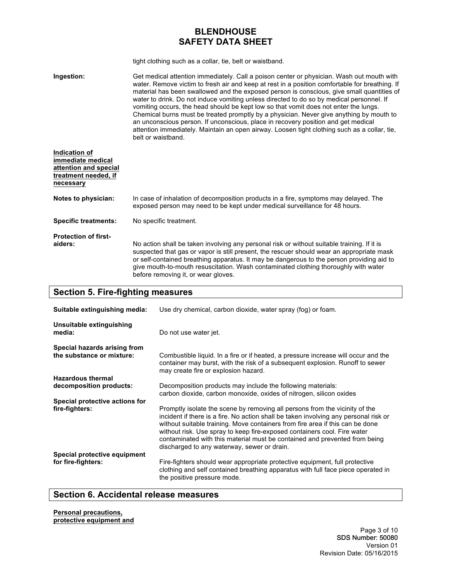tight clothing such as a collar, tie, belt or waistband.

**Ingestion:** Get medical attention immediately. Call a poison center or physician. Wash out mouth with water. Remove victim to fresh air and keep at rest in a position comfortable for breathing. If material has been swallowed and the exposed person is conscious, give small quantities of water to drink. Do not induce vomiting unless directed to do so by medical personnel. If vomiting occurs, the head should be kept low so that vomit does not enter the lungs. Chemical burns must be treated promptly by a physician. Never give anything by mouth to an unconscious person. If unconscious, place in recovery position and get medical attention immediately. Maintain an open airway. Loosen tight clothing such as a collar, tie, belt or waistband.

| Indication of<br>immediate medical<br>attention and special<br>treatment needed, if<br>necessary |                                                                                                                                                                                                                                                                                                                                                                                                                     |
|--------------------------------------------------------------------------------------------------|---------------------------------------------------------------------------------------------------------------------------------------------------------------------------------------------------------------------------------------------------------------------------------------------------------------------------------------------------------------------------------------------------------------------|
| Notes to physician:                                                                              | In case of inhalation of decomposition products in a fire, symptoms may delayed. The<br>exposed person may need to be kept under medical surveillance for 48 hours.                                                                                                                                                                                                                                                 |
| <b>Specific treatments:</b>                                                                      | No specific treatment.                                                                                                                                                                                                                                                                                                                                                                                              |
| <b>Protection of first-</b><br>aiders:                                                           | No action shall be taken involving any personal risk or without suitable training. If it is<br>suspected that gas or vapor is still present, the rescuer should wear an appropriate mask<br>or self-contained breathing apparatus. It may be dangerous to the person providing aid to<br>give mouth-to-mouth resuscitation. Wash contaminated clothing thoroughly with water<br>before removing it, or wear gloves. |

## **Section 5. Fire-fighting measures**

| Suitable extinguishing media:                             | Use dry chemical, carbon dioxide, water spray (fog) or foam.                                                                                                                                                                                                                                                                                                                                                                                                  |  |  |
|-----------------------------------------------------------|---------------------------------------------------------------------------------------------------------------------------------------------------------------------------------------------------------------------------------------------------------------------------------------------------------------------------------------------------------------------------------------------------------------------------------------------------------------|--|--|
| Unsuitable extinguishing<br>media:                        | Do not use water jet.                                                                                                                                                                                                                                                                                                                                                                                                                                         |  |  |
| Special hazards arising from<br>the substance or mixture: | Combustible liquid. In a fire or if heated, a pressure increase will occur and the<br>container may burst, with the risk of a subsequent explosion. Runoff to sewer<br>may create fire or explosion hazard.                                                                                                                                                                                                                                                   |  |  |
| <b>Hazardous thermal</b><br>decomposition products:       | Decomposition products may include the following materials:<br>carbon dioxide, carbon monoxide, oxides of nitrogen, silicon oxides                                                                                                                                                                                                                                                                                                                            |  |  |
| Special protective actions for<br>fire-fighters:          | Promptly isolate the scene by removing all persons from the vicinity of the<br>incident if there is a fire. No action shall be taken involving any personal risk or<br>without suitable training. Move containers from fire area if this can be done<br>without risk. Use spray to keep fire-exposed containers cool. Fire water<br>contaminated with this material must be contained and prevented from being<br>discharged to any waterway, sewer or drain. |  |  |
| Special protective equipment<br>for fire-fighters:        | Fire-fighters should wear appropriate protective equipment, full protective<br>clothing and self contained breathing apparatus with full face piece operated in<br>the positive pressure mode.                                                                                                                                                                                                                                                                |  |  |

## **Section 6. Accidental release measures**

**Personal precautions, protective equipment and**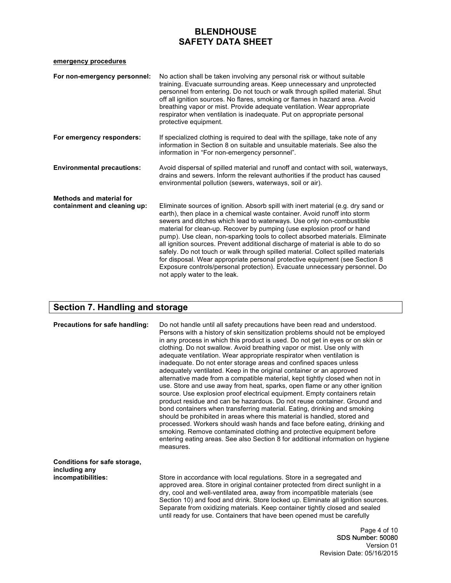### **emergency procedures**

| For non-emergency personnel:                                    | No action shall be taken involving any personal risk or without suitable<br>training. Evacuate surrounding areas. Keep unnecessary and unprotected<br>personnel from entering. Do not touch or walk through spilled material. Shut<br>off all ignition sources. No flares, smoking or flames in hazard area. Avoid<br>breathing vapor or mist. Provide adequate ventilation. Wear appropriate<br>respirator when ventilation is inadequate. Put on appropriate personal<br>protective equipment.                                                                                                                                                                                                                                                                      |
|-----------------------------------------------------------------|-----------------------------------------------------------------------------------------------------------------------------------------------------------------------------------------------------------------------------------------------------------------------------------------------------------------------------------------------------------------------------------------------------------------------------------------------------------------------------------------------------------------------------------------------------------------------------------------------------------------------------------------------------------------------------------------------------------------------------------------------------------------------|
| For emergency responders:                                       | If specialized clothing is required to deal with the spillage, take note of any<br>information in Section 8 on suitable and unsuitable materials. See also the<br>information in "For non-emergency personnel".                                                                                                                                                                                                                                                                                                                                                                                                                                                                                                                                                       |
| <b>Environmental precautions:</b>                               | Avoid dispersal of spilled material and runoff and contact with soil, waterways,<br>drains and sewers. Inform the relevant authorities if the product has caused<br>environmental pollution (sewers, waterways, soil or air).                                                                                                                                                                                                                                                                                                                                                                                                                                                                                                                                         |
| <b>Methods and material for</b><br>containment and cleaning up: | Eliminate sources of ignition. Absorb spill with inert material (e.g. dry sand or<br>earth), then place in a chemical waste container. Avoid runoff into storm<br>sewers and ditches which lead to waterways. Use only non-combustible<br>material for clean-up. Recover by pumping (use explosion proof or hand<br>pump). Use clean, non-sparking tools to collect absorbed materials. Eliminate<br>all ignition sources. Prevent additional discharge of material is able to do so<br>safely. Do not touch or walk through spilled material. Collect spilled materials<br>for disposal. Wear appropriate personal protective equipment (see Section 8<br>Exposure controls/personal protection). Evacuate unnecessary personnel. Do<br>not apply water to the leak. |

# **Section 7. Handling and storage**

| Precautions for safe handling:                                      | Do not handle until all safety precautions have been read and understood.<br>Persons with a history of skin sensitization problems should not be employed<br>in any process in which this product is used. Do not get in eyes or on skin or<br>clothing. Do not swallow. Avoid breathing vapor or mist. Use only with<br>adequate ventilation. Wear appropriate respirator when ventilation is<br>inadequate. Do not enter storage areas and confined spaces unless<br>adequately ventilated. Keep in the original container or an approved<br>alternative made from a compatible material, kept tightly closed when not in<br>use. Store and use away from heat, sparks, open flame or any other ignition<br>source. Use explosion proof electrical equipment. Empty containers retain<br>product residue and can be hazardous. Do not reuse container. Ground and<br>bond containers when transferring material. Eating, drinking and smoking<br>should be prohibited in areas where this material is handled, stored and<br>processed. Workers should wash hands and face before eating, drinking and<br>smoking. Remove contaminated clothing and protective equipment before<br>entering eating areas. See also Section 8 for additional information on hygiene<br>measures. |
|---------------------------------------------------------------------|-----------------------------------------------------------------------------------------------------------------------------------------------------------------------------------------------------------------------------------------------------------------------------------------------------------------------------------------------------------------------------------------------------------------------------------------------------------------------------------------------------------------------------------------------------------------------------------------------------------------------------------------------------------------------------------------------------------------------------------------------------------------------------------------------------------------------------------------------------------------------------------------------------------------------------------------------------------------------------------------------------------------------------------------------------------------------------------------------------------------------------------------------------------------------------------------------------------------------------------------------------------------------------------|
| Conditions for safe storage,<br>including any<br>incompatibilities: | Store in accordance with local regulations. Store in a segregated and<br>approved area. Store in original container protected from direct sunlight in a<br>dry, cool and well-ventilated area, away from incompatible materials (see<br>Section 10) and food and drink. Store locked up. Eliminate all ignition sources.<br>Separate from oxidizing materials. Keep container tightly closed and sealed<br>until ready for use. Containers that have been opened must be carefully                                                                                                                                                                                                                                                                                                                                                                                                                                                                                                                                                                                                                                                                                                                                                                                                |
|                                                                     | Page 4 of 10<br>SDS Number: 50080                                                                                                                                                                                                                                                                                                                                                                                                                                                                                                                                                                                                                                                                                                                                                                                                                                                                                                                                                                                                                                                                                                                                                                                                                                                 |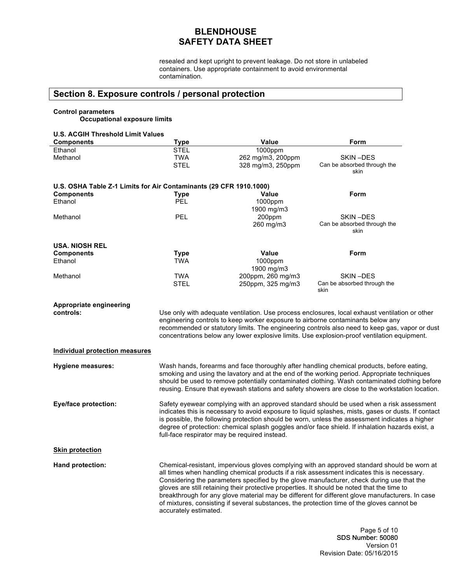resealed and kept upright to prevent leakage. Do not store in unlabeled containers. Use appropriate containment to avoid environmental contamination.

## **Section 8. Exposure controls / personal protection**

### **Control parameters**

**Occupational exposure limits**

## **U.S. ACGIH Threshold Limit Values**

| 0.9. AUGHT THI <del>ES</del> HUIU LIIIIII<br><b>Components</b>     | <b>Type</b>                                                                                                                                                                                                                                                                                                                                                                                  | <b>Value</b>                                                                                | Form                                                                                                                                                                                                                                                                                                                                                                                                                                                                                     |  |
|--------------------------------------------------------------------|----------------------------------------------------------------------------------------------------------------------------------------------------------------------------------------------------------------------------------------------------------------------------------------------------------------------------------------------------------------------------------------------|---------------------------------------------------------------------------------------------|------------------------------------------------------------------------------------------------------------------------------------------------------------------------------------------------------------------------------------------------------------------------------------------------------------------------------------------------------------------------------------------------------------------------------------------------------------------------------------------|--|
| Ethanol                                                            | <b>STEL</b>                                                                                                                                                                                                                                                                                                                                                                                  | 1000ppm                                                                                     |                                                                                                                                                                                                                                                                                                                                                                                                                                                                                          |  |
| Methanol                                                           | <b>TWA</b>                                                                                                                                                                                                                                                                                                                                                                                   | 262 mg/m3, 200ppm                                                                           | SKIN-DES                                                                                                                                                                                                                                                                                                                                                                                                                                                                                 |  |
|                                                                    | <b>STEL</b>                                                                                                                                                                                                                                                                                                                                                                                  | 328 mg/m3, 250ppm                                                                           | Can be absorbed through the<br>skin                                                                                                                                                                                                                                                                                                                                                                                                                                                      |  |
| U.S. OSHA Table Z-1 Limits for Air Contaminants (29 CFR 1910.1000) |                                                                                                                                                                                                                                                                                                                                                                                              |                                                                                             |                                                                                                                                                                                                                                                                                                                                                                                                                                                                                          |  |
| <b>Components</b>                                                  | <b>Type</b><br>PEL                                                                                                                                                                                                                                                                                                                                                                           | Value                                                                                       | Form                                                                                                                                                                                                                                                                                                                                                                                                                                                                                     |  |
| Ethanol                                                            |                                                                                                                                                                                                                                                                                                                                                                                              | 1000ppm<br>1900 mg/m3                                                                       |                                                                                                                                                                                                                                                                                                                                                                                                                                                                                          |  |
| Methanol                                                           | PEL                                                                                                                                                                                                                                                                                                                                                                                          | 200ppm                                                                                      | SKIN-DES                                                                                                                                                                                                                                                                                                                                                                                                                                                                                 |  |
|                                                                    |                                                                                                                                                                                                                                                                                                                                                                                              | 260 mg/m3                                                                                   | Can be absorbed through the<br>skin                                                                                                                                                                                                                                                                                                                                                                                                                                                      |  |
| <b>USA. NIOSH REL</b>                                              |                                                                                                                                                                                                                                                                                                                                                                                              |                                                                                             |                                                                                                                                                                                                                                                                                                                                                                                                                                                                                          |  |
| <b>Components</b>                                                  | <b>Type</b>                                                                                                                                                                                                                                                                                                                                                                                  | Value                                                                                       | Form                                                                                                                                                                                                                                                                                                                                                                                                                                                                                     |  |
| Ethanol                                                            | <b>TWA</b>                                                                                                                                                                                                                                                                                                                                                                                   | 1000ppm<br>1900 mg/m3                                                                       |                                                                                                                                                                                                                                                                                                                                                                                                                                                                                          |  |
| Methanol                                                           | <b>TWA</b>                                                                                                                                                                                                                                                                                                                                                                                   | 200ppm, 260 mg/m3                                                                           | SKIN-DES                                                                                                                                                                                                                                                                                                                                                                                                                                                                                 |  |
|                                                                    | <b>STEL</b>                                                                                                                                                                                                                                                                                                                                                                                  | 250ppm, 325 mg/m3                                                                           | Can be absorbed through the<br>skin                                                                                                                                                                                                                                                                                                                                                                                                                                                      |  |
| <b>Appropriate engineering</b>                                     |                                                                                                                                                                                                                                                                                                                                                                                              |                                                                                             |                                                                                                                                                                                                                                                                                                                                                                                                                                                                                          |  |
| controls:                                                          |                                                                                                                                                                                                                                                                                                                                                                                              |                                                                                             | Use only with adequate ventilation. Use process enclosures, local exhaust ventilation or other                                                                                                                                                                                                                                                                                                                                                                                           |  |
|                                                                    |                                                                                                                                                                                                                                                                                                                                                                                              | engineering controls to keep worker exposure to airborne contaminants below any             | recommended or statutory limits. The engineering controls also need to keep gas, vapor or dust                                                                                                                                                                                                                                                                                                                                                                                           |  |
|                                                                    |                                                                                                                                                                                                                                                                                                                                                                                              |                                                                                             | concentrations below any lower explosive limits. Use explosion-proof ventilation equipment.                                                                                                                                                                                                                                                                                                                                                                                              |  |
| <b>Individual protection measures</b>                              |                                                                                                                                                                                                                                                                                                                                                                                              |                                                                                             |                                                                                                                                                                                                                                                                                                                                                                                                                                                                                          |  |
| <b>Hygiene measures:</b>                                           | Wash hands, forearms and face thoroughly after handling chemical products, before eating,<br>smoking and using the lavatory and at the end of the working period. Appropriate techniques<br>should be used to remove potentially contaminated clothing. Wash contaminated clothing before<br>reusing. Ensure that eyewash stations and safety showers are close to the workstation location. |                                                                                             |                                                                                                                                                                                                                                                                                                                                                                                                                                                                                          |  |
| <b>Eye/face protection:</b>                                        |                                                                                                                                                                                                                                                                                                                                                                                              | full-face respirator may be required instead.                                               | Safety eyewear complying with an approved standard should be used when a risk assessment<br>indicates this is necessary to avoid exposure to liquid splashes, mists, gases or dusts. If contact<br>is possible, the following protection should be worn, unless the assessment indicates a higher<br>degree of protection: chemical splash goggles and/or face shield. If inhalation hazards exist, a                                                                                    |  |
| <b>Skin protection</b>                                             |                                                                                                                                                                                                                                                                                                                                                                                              |                                                                                             |                                                                                                                                                                                                                                                                                                                                                                                                                                                                                          |  |
| Hand protection:                                                   | accurately estimated.                                                                                                                                                                                                                                                                                                                                                                        | gloves are still retaining their protective properties. It should be noted that the time to | Chemical-resistant, impervious gloves complying with an approved standard should be worn at<br>all times when handling chemical products if a risk assessment indicates this is necessary.<br>Considering the parameters specified by the glove manufacturer, check during use that the<br>breakthrough for any glove material may be different for different glove manufacturers. In case<br>of mixtures, consisting if several substances, the protection time of the gloves cannot be |  |

Page 5 of 10 SDS Number: 50080 Version 01 Revision Date: 05/16/2015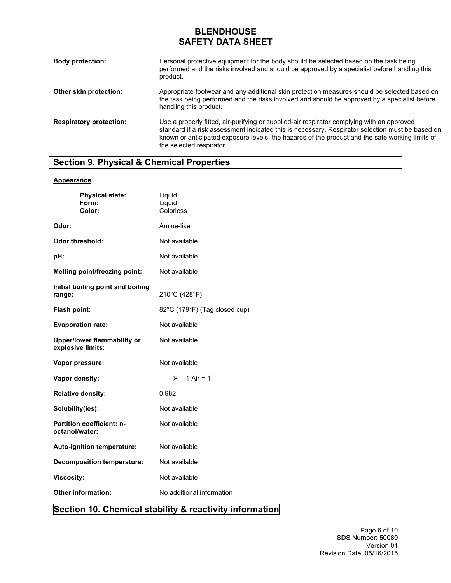| <b>Body protection:</b>        | Personal protective equipment for the body should be selected based on the task being<br>performed and the risks involved and should be approved by a specialist before handling this<br>product.                                                                                                                             |
|--------------------------------|-------------------------------------------------------------------------------------------------------------------------------------------------------------------------------------------------------------------------------------------------------------------------------------------------------------------------------|
| Other skin protection:         | Appropriate footwear and any additional skin protection measures should be selected based on<br>the task being performed and the risks involved and should be approved by a specialist before<br>handling this product.                                                                                                       |
| <b>Respiratory protection:</b> | Use a properly fitted, air-purifying or supplied-air respirator complying with an approved<br>standard if a risk assessment indicated this is necessary. Respirator selection must be based on<br>known or anticipated exposure levels, the hazards of the product and the safe working limits of<br>the selected respirator. |

# **Section 9. Physical & Chemical Properties**

### **Appearance**

| <b>Physical state:</b><br>Form:<br>Color:               | Liquid<br>Liquid<br>Colorless |
|---------------------------------------------------------|-------------------------------|
| Odor:                                                   | Amine-like                    |
| Odor threshold:                                         | Not available                 |
| pH:                                                     | Not available                 |
| <b>Melting point/freezing point:</b>                    | Not available                 |
| Initial boiling point and boiling<br>range:             | 210°C (428°F)                 |
| Flash point:                                            | 82°C (179°F) (Tag closed cup) |
| <b>Evaporation rate:</b>                                | Not available                 |
| <b>Upper/lower flammability or</b><br>explosive limits: | Not available                 |
| Vapor pressure:                                         | Not available                 |
| Vapor density:                                          | 1 Air = $1$<br>≻              |
| <b>Relative density:</b>                                | 0.982                         |
| Solubility(ies):                                        | Not available                 |
| <b>Partition coefficient: n-</b><br>octanol/water:      | Not available                 |
| Auto-ignition temperature:                              | Not available                 |
| Decomposition temperature:                              | Not available                 |
| <b>Viscosity:</b>                                       | Not available                 |
| <b>Other information:</b>                               | No additional information     |

# **Section 10. Chemical stability & reactivity information**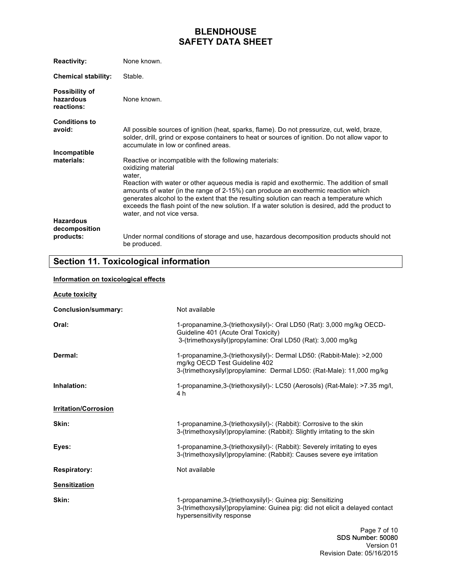| <b>Reactivity:</b>                        | None known.                                                                                                                                                                                                                                                                                                                                                                                                  |
|-------------------------------------------|--------------------------------------------------------------------------------------------------------------------------------------------------------------------------------------------------------------------------------------------------------------------------------------------------------------------------------------------------------------------------------------------------------------|
| <b>Chemical stability:</b>                | Stable.                                                                                                                                                                                                                                                                                                                                                                                                      |
| Possibility of<br>hazardous<br>reactions: | None known.                                                                                                                                                                                                                                                                                                                                                                                                  |
| <b>Conditions to</b><br>avoid:            | All possible sources of ignition (heat, sparks, flame). Do not pressurize, cut, weld, braze,<br>solder, drill, grind or expose containers to heat or sources of ignition. Do not allow vapor to<br>accumulate in low or confined areas.                                                                                                                                                                      |
| Incompatible                              |                                                                                                                                                                                                                                                                                                                                                                                                              |
| materials:                                | Reactive or incompatible with the following materials:<br>oxidizing material<br>water,                                                                                                                                                                                                                                                                                                                       |
|                                           | Reaction with water or other aqueous media is rapid and exothermic. The addition of small<br>amounts of water (in the range of 2-15%) can produce an exothermic reaction which<br>generates alcohol to the extent that the resulting solution can reach a temperature which<br>exceeds the flash point of the new solution. If a water solution is desired, add the product to<br>water, and not vice versa. |
| <b>Hazardous</b>                          |                                                                                                                                                                                                                                                                                                                                                                                                              |
| decomposition                             |                                                                                                                                                                                                                                                                                                                                                                                                              |
| products:                                 | Under normal conditions of storage and use, hazardous decomposition products should not<br>be produced.                                                                                                                                                                                                                                                                                                      |

# **Section 11. Toxicological information**

### **Information on toxicological effects**

| <b>Acute toxicity</b>       |                                                                                                                                                                                  |
|-----------------------------|----------------------------------------------------------------------------------------------------------------------------------------------------------------------------------|
| Conclusion/summary:         | Not available                                                                                                                                                                    |
| Oral:                       | 1-propanamine, 3-(triethoxysilyl)-: Oral LD50 (Rat): 3,000 mg/kg OECD-<br>Guideline 401 (Acute Oral Toxicity)<br>3-(trimethoxysilyl)propylamine: Oral LD50 (Rat): 3,000 mg/kg    |
| Dermal:                     | 1-propanamine, 3-(triethoxysilyl)-: Dermal LD50: (Rabbit-Male): >2,000<br>mg/kg OECD Test Guideline 402<br>3-(trimethoxysilyl)propylamine: Dermal LD50: (Rat-Male): 11,000 mg/kg |
| Inhalation:                 | 1-propanamine, 3-(triethoxysilyl)-: LC50 (Aerosols) (Rat-Male): >7.35 mg/l,<br>4 h                                                                                               |
| <b>Irritation/Corrosion</b> |                                                                                                                                                                                  |
| Skin:                       | 1-propanamine, 3-(triethoxysilyl)-: (Rabbit): Corrosive to the skin<br>3-(trimethoxysilyl) propylamine: (Rabbit): Slightly irritating to the skin                                |
| Eyes:                       | 1-propanamine, 3-(triethoxysilyl) -: (Rabbit): Severely irritating to eyes<br>3-(trimethoxysilyl)propylamine: (Rabbit): Causes severe eye irritation                             |
| <b>Respiratory:</b>         | Not available                                                                                                                                                                    |
| <b>Sensitization</b>        |                                                                                                                                                                                  |
| Skin:                       | 1-propanamine, 3-(triethoxysilyl)-: Guinea pig: Sensitizing<br>3-(trimethoxysilyl)propylamine: Guinea pig: did not elicit a delayed contact<br>hypersensitivity response         |
|                             | Page 7 of 10                                                                                                                                                                     |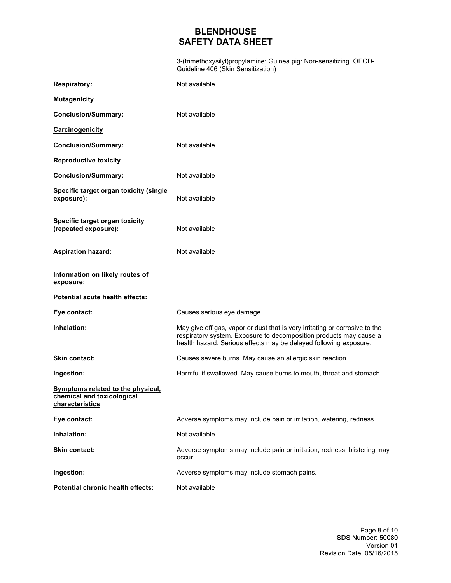3-(trimethoxysilyl)propylamine: Guinea pig: Non-sensitizing. OECD-Guideline 406 (Skin Sensitization)

| <b>Respiratory:</b>                                                                | Not available                                                                                                                                                                                                          |
|------------------------------------------------------------------------------------|------------------------------------------------------------------------------------------------------------------------------------------------------------------------------------------------------------------------|
| <b>Mutagenicity</b>                                                                |                                                                                                                                                                                                                        |
| <b>Conclusion/Summary:</b>                                                         | Not available                                                                                                                                                                                                          |
| Carcinogenicity                                                                    |                                                                                                                                                                                                                        |
| <b>Conclusion/Summary:</b>                                                         | Not available                                                                                                                                                                                                          |
| <b>Reproductive toxicity</b>                                                       |                                                                                                                                                                                                                        |
| <b>Conclusion/Summary:</b>                                                         | Not available                                                                                                                                                                                                          |
| Specific target organ toxicity (single<br>exposure):                               | Not available                                                                                                                                                                                                          |
| Specific target organ toxicity<br>(repeated exposure):                             | Not available                                                                                                                                                                                                          |
| <b>Aspiration hazard:</b>                                                          | Not available                                                                                                                                                                                                          |
| Information on likely routes of<br>exposure:                                       |                                                                                                                                                                                                                        |
| Potential acute health effects:                                                    |                                                                                                                                                                                                                        |
| Eye contact:                                                                       | Causes serious eye damage.                                                                                                                                                                                             |
| Inhalation:                                                                        | May give off gas, vapor or dust that is very irritating or corrosive to the<br>respiratory system. Exposure to decomposition products may cause a<br>health hazard. Serious effects may be delayed following exposure. |
| Skin contact:                                                                      | Causes severe burns. May cause an allergic skin reaction.                                                                                                                                                              |
| Ingestion:                                                                         | Harmful if swallowed. May cause burns to mouth, throat and stomach.                                                                                                                                                    |
| Symptoms related to the physical,<br>chemical and toxicological<br>characteristics |                                                                                                                                                                                                                        |
| Eye contact:                                                                       | Adverse symptoms may include pain or irritation, watering, redness.                                                                                                                                                    |
| Inhalation:                                                                        | Not available                                                                                                                                                                                                          |
| Skin contact:                                                                      | Adverse symptoms may include pain or irritation, redness, blistering may<br>occur.                                                                                                                                     |
| Ingestion:                                                                         | Adverse symptoms may include stomach pains.                                                                                                                                                                            |
|                                                                                    |                                                                                                                                                                                                                        |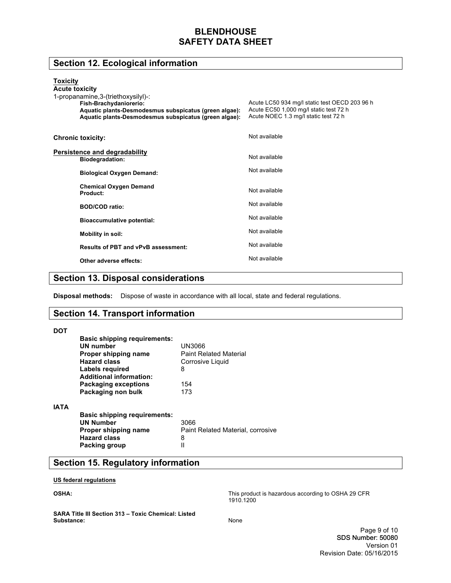# **Section 12. Ecological information**

| У | г. |
|---|----|
|   |    |

| .<br><b>Acute toxicity</b><br>1-propanamine, 3-(triethoxysilyl)-:<br>Fish-Brachydaniorerio:<br>Aquatic plants-Desmodesmus subspicatus (green algae):<br>Aquatic plants-Desmodesmus subspicatus (green algae): | Acute LC50 934 mg/l static test OECD 203 96 h<br>Acute EC50 1,000 mg/l static test 72 h<br>Acute NOEC 1.3 mg/l static test 72 h |
|---------------------------------------------------------------------------------------------------------------------------------------------------------------------------------------------------------------|---------------------------------------------------------------------------------------------------------------------------------|
| <b>Chronic toxicity:</b>                                                                                                                                                                                      | Not available                                                                                                                   |
| Persistence and degradability<br><b>Biodegradation:</b>                                                                                                                                                       | Not available                                                                                                                   |
| <b>Biological Oxygen Demand:</b>                                                                                                                                                                              | Not available                                                                                                                   |
| <b>Chemical Oxygen Demand</b><br>Product:                                                                                                                                                                     | Not available                                                                                                                   |
| <b>BOD/COD ratio:</b>                                                                                                                                                                                         | Not available                                                                                                                   |
| <b>Bioaccumulative potential:</b>                                                                                                                                                                             | Not available                                                                                                                   |
| Mobility in soil:                                                                                                                                                                                             | Not available                                                                                                                   |
| <b>Results of PBT and vPvB assessment:</b>                                                                                                                                                                    | Not available                                                                                                                   |
| Other adverse effects:                                                                                                                                                                                        | Not available                                                                                                                   |

## **Section 13. Disposal considerations**

**Disposal methods:** Dispose of waste in accordance with all local, state and federal regulations.

## **Section 14. Transport information**

| <b>DOT</b>  |                                     |                                   |
|-------------|-------------------------------------|-----------------------------------|
|             | <b>Basic shipping requirements:</b> |                                   |
|             | UN number                           | UN3066                            |
|             | Proper shipping name                | <b>Paint Related Material</b>     |
|             | <b>Hazard class</b>                 | Corrosive Liquid                  |
|             | Labels reguired                     | 8                                 |
|             | <b>Additional information:</b>      |                                   |
|             | <b>Packaging exceptions</b>         | 154                               |
|             | Packaging non bulk                  | 173                               |
| <b>IATA</b> |                                     |                                   |
|             | <b>Basic shipping requirements:</b> |                                   |
|             | <b>UN Number</b>                    | 3066                              |
|             | Proper shipping name                | Paint Related Material, corrosive |
|             | <b>Hazard class</b>                 | 8                                 |
|             | Packing group                       | Ш                                 |
|             |                                     |                                   |

## **Section 15. Regulatory information**

**US federal regulations**

**OSHA:**

This product is hazardous according to OSHA 29 CFR 1910.1200

**SARA Title III Section 313 – Toxic Chemical: Listed Substance:**

None